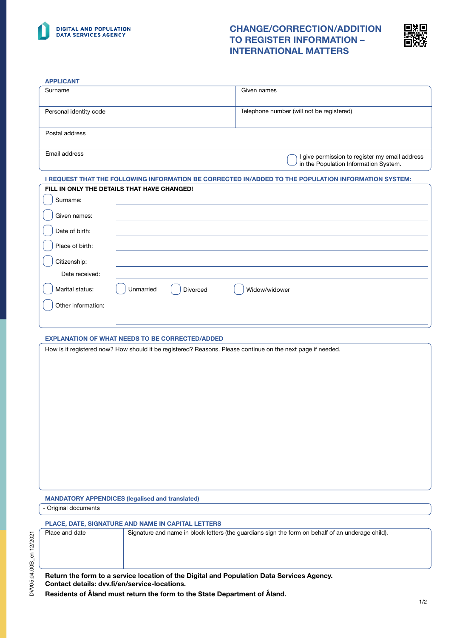

# CHANGE/CORRECTION/ADDITION TO REGISTER INFORMATION – INTERNATIONAL MATTERS



1/2

| Telephone number (will not be registered)<br>I give permission to register my email address<br>in the Population Information System.<br>I REQUEST THAT THE FOLLOWING INFORMATION BE CORRECTED IN/ADDED TO THE POPULATION INFORMATION SYSTEM:<br>Widow/widower                         |
|---------------------------------------------------------------------------------------------------------------------------------------------------------------------------------------------------------------------------------------------------------------------------------------|
|                                                                                                                                                                                                                                                                                       |
|                                                                                                                                                                                                                                                                                       |
|                                                                                                                                                                                                                                                                                       |
|                                                                                                                                                                                                                                                                                       |
|                                                                                                                                                                                                                                                                                       |
|                                                                                                                                                                                                                                                                                       |
|                                                                                                                                                                                                                                                                                       |
|                                                                                                                                                                                                                                                                                       |
|                                                                                                                                                                                                                                                                                       |
|                                                                                                                                                                                                                                                                                       |
|                                                                                                                                                                                                                                                                                       |
|                                                                                                                                                                                                                                                                                       |
|                                                                                                                                                                                                                                                                                       |
|                                                                                                                                                                                                                                                                                       |
|                                                                                                                                                                                                                                                                                       |
|                                                                                                                                                                                                                                                                                       |
|                                                                                                                                                                                                                                                                                       |
| Signature and name in block letters (the guardians sign the form on behalf of an underage child).                                                                                                                                                                                     |
| How is it registered now? How should it be registered? Reasons. Please continue on the next page if needed.<br>Return the form to a service location of the Digital and Population Data Services Agency.<br>Residents of Åland must return the form to the State Department of Åland. |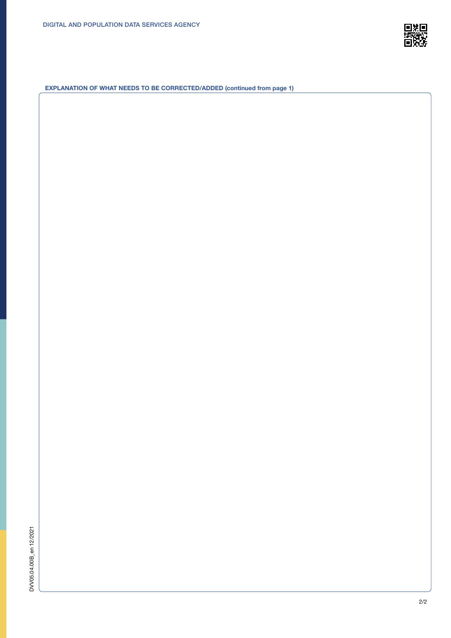

EXPLANATION OF WHAT NEEDS TO BE CORRECTED/ADDED (continued from page 1)